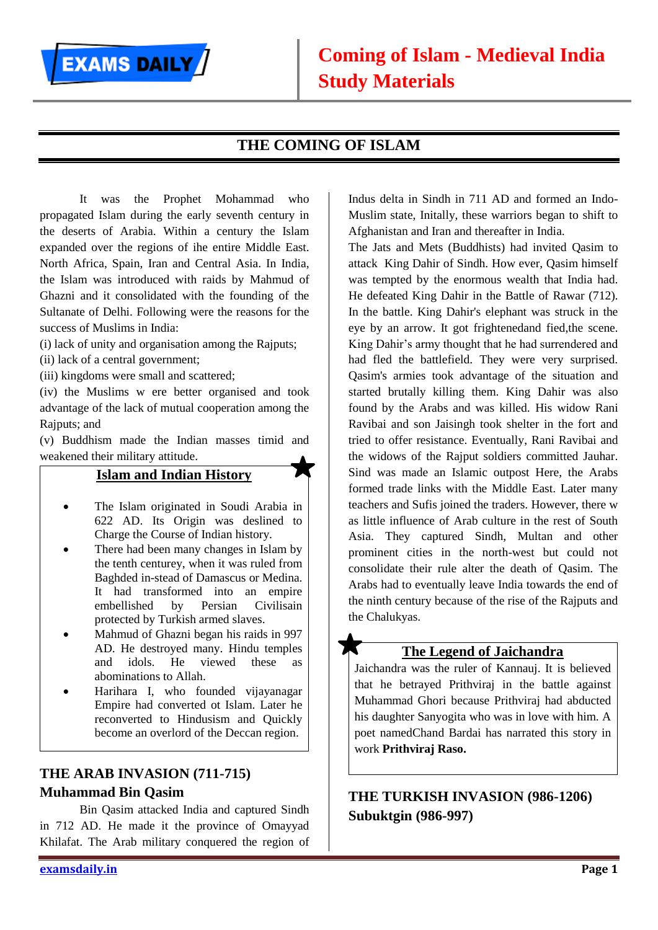

# **THE COMING OF ISLAM**

It was the Prophet Mohammad who propagated Islam during the early seventh century in the deserts of Arabia. Within a century the Islam expanded over the regions of ihe entire Middle East. North Africa, Spain, Iran and Central Asia. In India, the Islam was introduced with raids by Mahmud of Ghazni and it consolidated with the founding of the Sultanate of Delhi. Following were the reasons for the success of Muslims in India:

(i) lack of unity and organisation among the Rajputs;

(ii) lack of a central government;

(iii) kingdoms were small and scattered;

(iv) the Muslims w ere better organised and took advantage of the lack of mutual cooperation among the Rajputs; and

(v) Buddhism made the Indian masses timid and weakened their military attitude.

#### **Islam and Indian History**

- The Islam originated in Soudi Arabia in 622 AD. Its Origin was deslined to Charge the Course of Indian history.
- There had been many changes in Islam by the tenth centurey, when it was ruled from Baghded in-stead of Damascus or Medina. It had transformed into an empire embellished by Persian Civilisain protected by Turkish armed slaves.
- Mahmud of Ghazni began his raids in 997 AD. He destroyed many. Hindu temples and idols. He viewed these as abominations to Allah.
- Harihara I, who founded vijayanagar Empire had converted ot Islam. Later he reconverted to Hindusism and Quickly become an overlord of the Deccan region.

# **THE ARAB INVASION (711-715) Muhammad Bin Qasim**

Bin Qasim attacked India and captured Sindh in 712 AD. He made it the province of Omayyad Khilafat. The Arab military conquered the region of Indus delta in Sindh in 711 AD and formed an Indo-Muslim state, Initally, these warriors began to shift to Afghanistan and Iran and thereafter in India.

The Jats and Mets (Buddhists) had invited Qasim to attack King Dahir of Sindh. How ever, Qasim himself was tempted by the enormous wealth that India had. He defeated King Dahir in the Battle of Rawar (712). In the battle. King Dahir's elephant was struck in the eye by an arrow. It got frightenedand fied,the scene. King Dahir's army thought that he had surrendered and had fled the battlefield. They were very surprised. Qasim's armies took advantage of the situation and started brutally killing them. King Dahir was also found by the Arabs and was killed. His widow Rani Ravibai and son Jaisingh took shelter in the fort and tried to offer resistance. Eventually, Rani Ravibai and the widows of the Rajput soldiers committed Jauhar. Sind was made an Islamic outpost Here, the Arabs formed trade links with the Middle East. Later many teachers and Sufis joined the traders. However, there w as little influence of Arab culture in the rest of South Asia. They captured Sindh, Multan and other prominent cities in the north-west but could not consolidate their rule alter the death of Qasim. The Arabs had to eventually leave India towards the end of the ninth century because of the rise of the Rajputs and the Chalukyas.

#### **The Legend of Jaichandra**

Jaichandra was the ruler of Kannauj. It is believed that he betrayed Prithviraj in the battle against Muhammad Ghori because Prithviraj had abducted his daughter Sanyogita who was in love with him. A poet namedChand Bardai has narrated this story in work **Prithviraj Raso.**

**THE TURKISH INVASION (986-1206) Subuktgin (986-997)**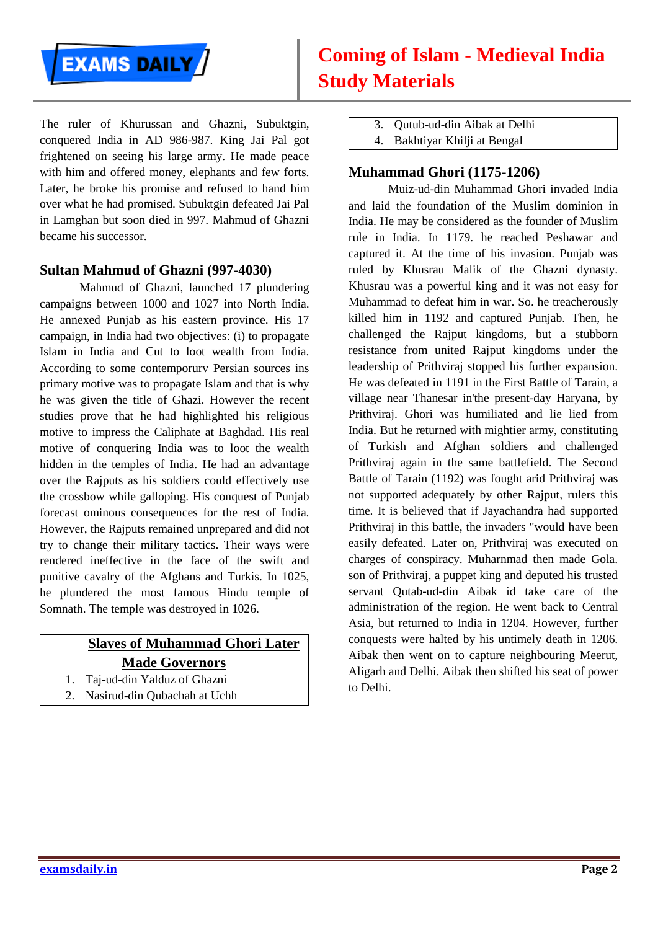

The ruler of Khurussan and Ghazni, Subuktgin, conquered India in AD 986-987. King Jai Pal got frightened on seeing his large army. He made peace with him and offered money, elephants and few forts. Later, he broke his promise and refused to hand him over what he had promised. Subuktgin defeated Jai Pal in Lamghan but soon died in 997. Mahmud of Ghazni became his successor.

#### **Sultan Mahmud of Ghazni (997-4030)**

Mahmud of Ghazni, launched 17 plundering campaigns between 1000 and 1027 into North India. He annexed Punjab as his eastern province. His 17 campaign, in India had two objectives: (i) to propagate Islam in India and Cut to loot wealth from India. According to some contemporurv Persian sources ins primary motive was to propagate Islam and that is why he was given the title of Ghazi. However the recent studies prove that he had highlighted his religious motive to impress the Caliphate at Baghdad. His real motive of conquering India was to loot the wealth hidden in the temples of India. He had an advantage over the Rajputs as his soldiers could effectively use the crossbow while galloping. His conquest of Punjab forecast ominous consequences for the rest of India. However, the Rajputs remained unprepared and did not try to change their military tactics. Their ways were rendered ineffective in the face of the swift and punitive cavalry of the Afghans and Turkis. In 1025, he plundered the most famous Hindu temple of Somnath. The temple was destroyed in 1026.

# **Slaves of Muhammad Ghori Later Made Governors**

- 1. Taj-ud-din Yalduz of Ghazni
- 2. Nasirud-din Qubachah at Uchh
- 3. Qutub-ud-din Aibak at Delhi
- 4. Bakhtiyar Khilji at Bengal

# **Muhammad Ghori (1175-1206)**

Muiz-ud-din Muhammad Ghori invaded India and laid the foundation of the Muslim dominion in India. He may be considered as the founder of Muslim rule in India. In 1179. he reached Peshawar and captured it. At the time of his invasion. Punjab was ruled by Khusrau Malik of the Ghazni dynasty. Khusrau was a powerful king and it was not easy for Muhammad to defeat him in war. So. he treacherously killed him in 1192 and captured Punjab. Then, he challenged the Rajput kingdoms, but a stubborn resistance from united Rajput kingdoms under the leadership of Prithviraj stopped his further expansion. He was defeated in 1191 in the First Battle of Tarain, a village near Thanesar in'the present-day Haryana, by Prithviraj. Ghori was humiliated and lie lied from India. But he returned with mightier army, constituting of Turkish and Afghan soldiers and challenged Prithviraj again in the same battlefield. The Second Battle of Tarain (1192) was fought arid Prithviraj was not supported adequately by other Rajput, rulers this time. It is believed that if Jayachandra had supported Prithviraj in this battle, the invaders "would have been easily defeated. Later on, Prithviraj was executed on charges of conspiracy. Muharnmad then made Gola. son of Prithviraj, a puppet king and deputed his trusted servant Qutab-ud-din Aibak id take care of the administration of the region. He went back to Central Asia, but returned to India in 1204. However, further conquests were halted by his untimely death in 1206. Aibak then went on to capture neighbouring Meerut, Aligarh and Delhi. Aibak then shifted his seat of power to Delhi.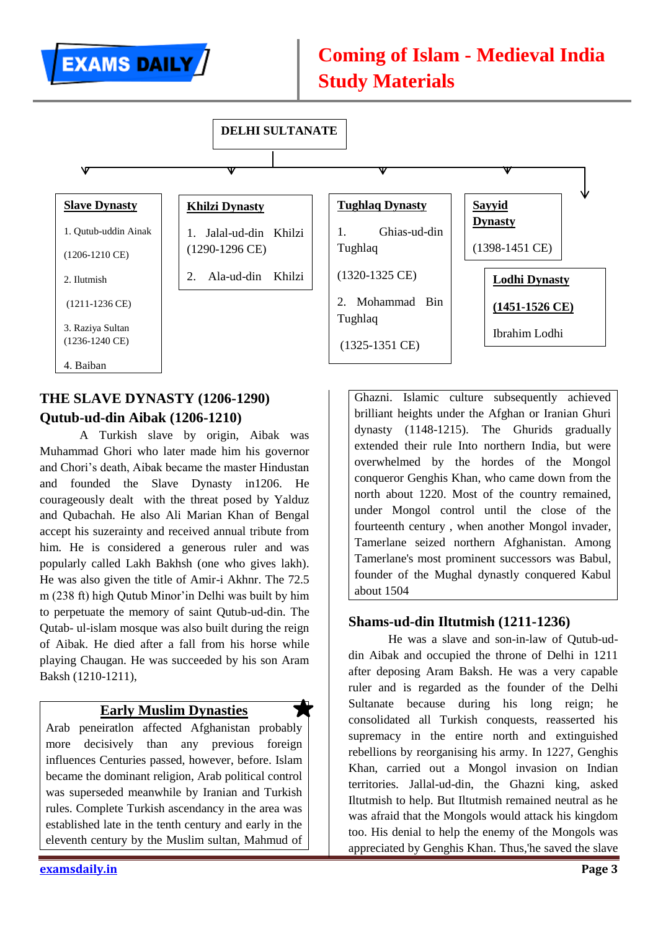



# **THE SLAVE DYNASTY (1206-1290) Qutub-ud-din Aibak (1206-1210)**

A Turkish slave by origin, Aibak was Muhammad Ghori who later made him his governor and Chori's death, Aibak became the master Hindustan and founded the Slave Dynasty in1206. He courageously dealt with the threat posed by Yalduz and Qubachah. He also Ali Marian Khan of Bengal accept his suzerainty and received annual tribute from him. He is considered a generous ruler and was popularly called Lakh Bakhsh (one who gives lakh). He was also given the title of Amir-i Akhnr. The 72.5 m (238 ft) high Qutub Minor'in Delhi was built by him to perpetuate the memory of saint Qutub-ud-din. The Qutab- ul-islam mosque was also built during the reign of Aibak. He died after a fall from his horse while playing Chaugan. He was succeeded by his son Aram Baksh (1210-1211),

# **Early Muslim Dynasties**

Arab peneiratlon affected Afghanistan probably more decisively than any previous foreign influences Centuries passed, however, before. Islam became the dominant religion, Arab political control was superseded meanwhile by Iranian and Turkish rules. Complete Turkish ascendancy in the area was established late in the tenth century and early in the eleventh century by the Muslim sultan, Mahmud of Ghazni. Islamic culture subsequently achieved brilliant heights under the Afghan or Iranian Ghuri dynasty (1148-1215). The Ghurids gradually extended their rule Into northern India, but were overwhelmed by the hordes of the Mongol conqueror Genghis Khan, who came down from the north about 1220. Most of the country remained, under Mongol control until the close of the fourteenth century , when another Mongol invader, Tamerlane seized northern Afghanistan. Among Tamerlane's most prominent successors was Babul, founder of the Mughal dynastly conquered Kabul about 1504

# **Shams-ud-din Iltutmish (1211-1236)**

He was a slave and son-in-law of Qutub-uddin Aibak and occupied the throne of Delhi in 1211 after deposing Aram Baksh. He was a very capable ruler and is regarded as the founder of the Delhi Sultanate because during his long reign; he consolidated all Turkish conquests, reasserted his supremacy in the entire north and extinguished rebellions by reorganising his army. In 1227, Genghis Khan, carried out a Mongol invasion on Indian territories. Jallal-ud-din, the Ghazni king, asked Iltutmish to help. But Iltutmish remained neutral as he was afraid that the Mongols would attack his kingdom too. His denial to help the enemy of the Mongols was appreciated by Genghis Khan. Thus,'he saved the slave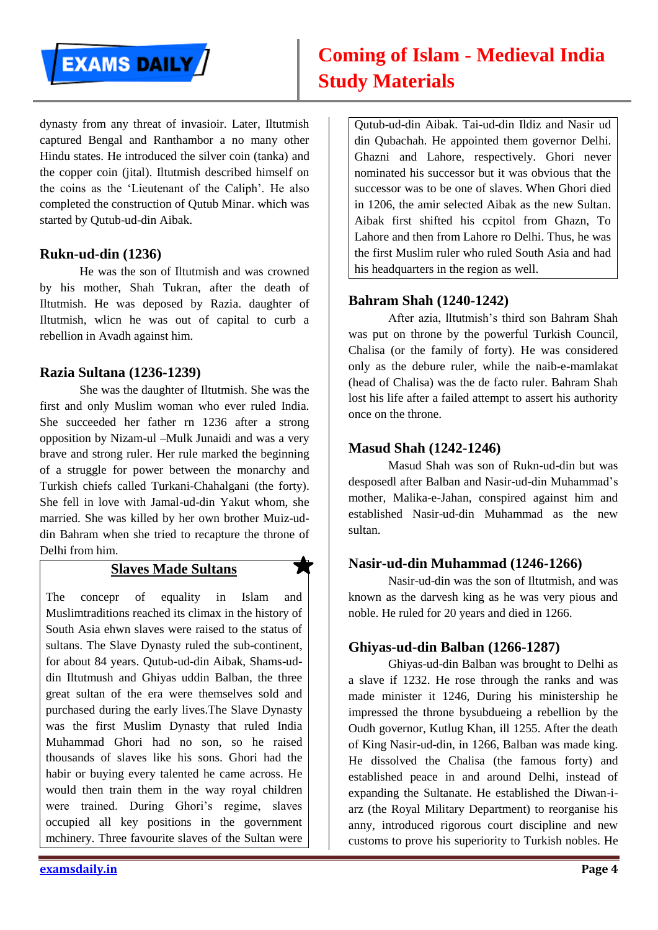

dynasty from any threat of invasioir. Later, Iltutmish captured Bengal and Ranthambor a no many other Hindu states. He introduced the silver coin (tanka) and the copper coin (jital). Iltutmish described himself on the coins as the 'Lieutenant of the Caliph'. He also completed the construction of Qutub Minar. which was started by Qutub-ud-din Aibak.

#### **Rukn-ud-din (1236)**

He was the son of Iltutmish and was crowned by his mother, Shah Tukran, after the death of Iltutmish. He was deposed by Razia. daughter of Iltutmish, wlicn he was out of capital to curb a rebellion in Avadh against him.

#### **Razia Sultana (1236-1239)**

She was the daughter of Iltutmish. She was the first and only Muslim woman who ever ruled India. She succeeded her father rn 1236 after a strong opposition by Nizam-ul –Mulk Junaidi and was a very brave and strong ruler. Her rule marked the beginning of a struggle for power between the monarchy and Turkish chiefs called Turkani-Chahalgani (the forty). She fell in love with Jamal-ud-din Yakut whom, she married. She was killed by her own brother Muiz-uddin Bahram when she tried to recapture the throne of Delhi from him.

# **Slaves Made Sultans**

The concepr of equality in Islam and Muslimtraditions reached its climax in the history of South Asia ehwn slaves were raised to the status of sultans. The Slave Dynasty ruled the sub-continent, for about 84 years. Qutub-ud-din Aibak, Shams-uddin Iltutmush and Ghiyas uddin Balban, the three great sultan of the era were themselves sold and purchased during the early lives.The Slave Dynasty was the first Muslim Dynasty that ruled India Muhammad Ghori had no son, so he raised thousands of slaves like his sons. Ghori had the habir or buying every talented he came across. He would then train them in the way royal children were trained. During Ghori's regime, slaves occupied all key positions in the government mchinery. Three favourite slaves of the Sultan were

Qutub-ud-din Aibak. Tai-ud-din Ildiz and Nasir ud din Qubachah. He appointed them governor Delhi. Ghazni and Lahore, respectively. Ghori never nominated his successor but it was obvious that the successor was to be one of slaves. When Ghori died in 1206, the amir selected Aibak as the new Sultan. Aibak first shifted his ccpitol from Ghazn, To Lahore and then from Lahore ro Delhi. Thus, he was the first Muslim ruler who ruled South Asia and had his headquarters in the region as well.

# **Bahram Shah (1240-1242)**

After azia, lltutmish's third son Bahram Shah was put on throne by the powerful Turkish Council, Chalisa (or the family of forty). He was considered only as the debure ruler, while the naib-e-mamlakat (head of Chalisa) was the de facto ruler. Bahram Shah lost his life after a failed attempt to assert his authority once on the throne.

#### **Masud Shah (1242-1246)**

Masud Shah was son of Rukn-ud-din but was desposedl after Balban and Nasir-ud-din Muhammad's mother, Malika-e-Jahan, conspired against him and established Nasir-ud-din Muhammad as the new sultan.

#### **Nasir-ud-din Muhammad (1246-1266)**

Nasir-ud-din was the son of Iltutmish, and was known as the darvesh king as he was very pious and noble. He ruled for 20 years and died in 1266.

#### **Ghiyas-ud-din Balban (1266-1287)**

Ghiyas-ud-din Balban was brought to Delhi as a slave if 1232. He rose through the ranks and was made minister it 1246, During his ministership he impressed the throne bysubdueing a rebellion by the Oudh governor, Kutlug Khan, ill 1255. After the death of King Nasir-ud-din, in 1266, Balban was made king. He dissolved the Chalisa (the famous forty) and established peace in and around Delhi, instead of expanding the Sultanate. He established the Diwan-iarz (the Royal Military Department) to reorganise his anny, introduced rigorous court discipline and new customs to prove his superiority to Turkish nobles. He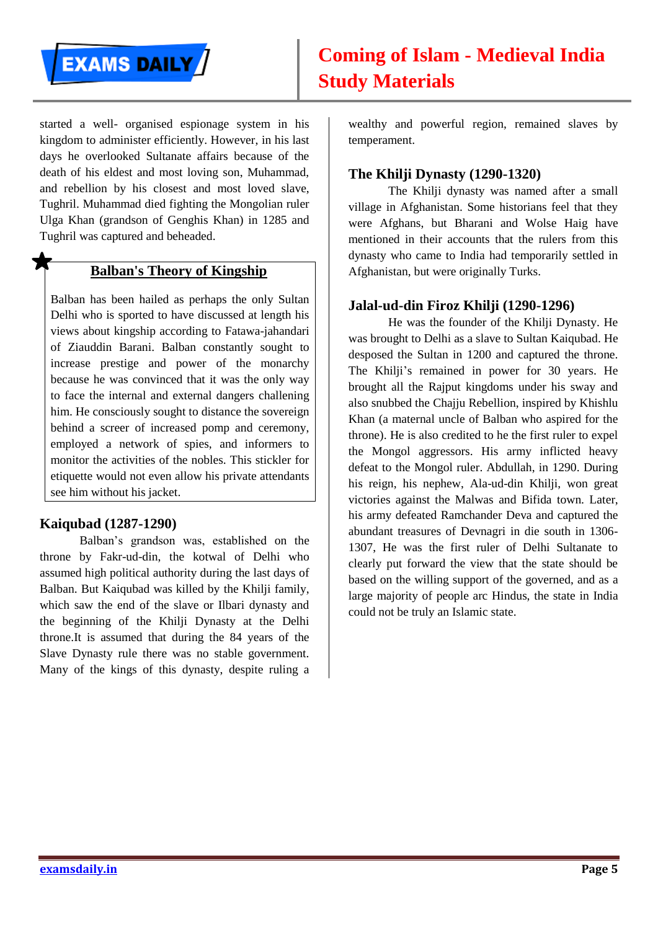

started a well- organised espionage system in his kingdom to administer efficiently. However, in his last days he overlooked Sultanate affairs because of the death of his eldest and most loving son, Muhammad, and rebellion by his closest and most loved slave, Tughril. Muhammad died fighting the Mongolian ruler Ulga Khan (grandson of Genghis Khan) in 1285 and Tughril was captured and beheaded.

# **Balban's Theory of Kingship**

Balban has been hailed as perhaps the only Sultan Delhi who is sported to have discussed at length his views about kingship according to Fatawa-jahandari of Ziauddin Barani. Balban constantly sought to increase prestige and power of the monarchy because he was convinced that it was the only way to face the internal and external dangers challening him. He consciously sought to distance the sovereign behind a screer of increased pomp and ceremony, employed a network of spies, and informers to monitor the activities of the nobles. This stickler for etiquette would not even allow his private attendants see him without his jacket.

#### **Kaiqubad (1287-1290)**

Balban's grandson was, established on the throne by Fakr-ud-din, the kotwal of Delhi who assumed high political authority during the last days of Balban. But Kaiqubad was killed by the Khilji family, which saw the end of the slave or Ilbari dynasty and the beginning of the Khilji Dynasty at the Delhi throne.It is assumed that during the 84 years of the Slave Dynasty rule there was no stable government. Many of the kings of this dynasty, despite ruling a wealthy and powerful region, remained slaves by temperament.

#### **The Khilji Dynasty (1290-1320)**

The Khilji dynasty was named after a small village in Afghanistan. Some historians feel that they were Afghans, but Bharani and Wolse Haig have mentioned in their accounts that the rulers from this dynasty who came to India had temporarily settled in Afghanistan, but were originally Turks.

#### **Jalal-ud-din Firoz Khilji (1290-1296)**

He was the founder of the Khilji Dynasty. He was brought to Delhi as a slave to Sultan Kaiqubad. He desposed the Sultan in 1200 and captured the throne. The Khilji's remained in power for 30 years. He brought all the Rajput kingdoms under his sway and also snubbed the Chajju Rebellion, inspired by Khishlu Khan (a maternal uncle of Balban who aspired for the throne). He is also credited to he the first ruler to expel the Mongol aggressors. His army inflicted heavy defeat to the Mongol ruler. Abdullah, in 1290. During his reign, his nephew, Ala-ud-din Khilji, won great victories against the Malwas and Bifida town. Later, his army defeated Ramchander Deva and captured the abundant treasures of Devnagri in die south in 1306- 1307, He was the first ruler of Delhi Sultanate to clearly put forward the view that the state should be based on the willing support of the governed, and as a large majority of people arc Hindus, the state in India could not be truly an Islamic state.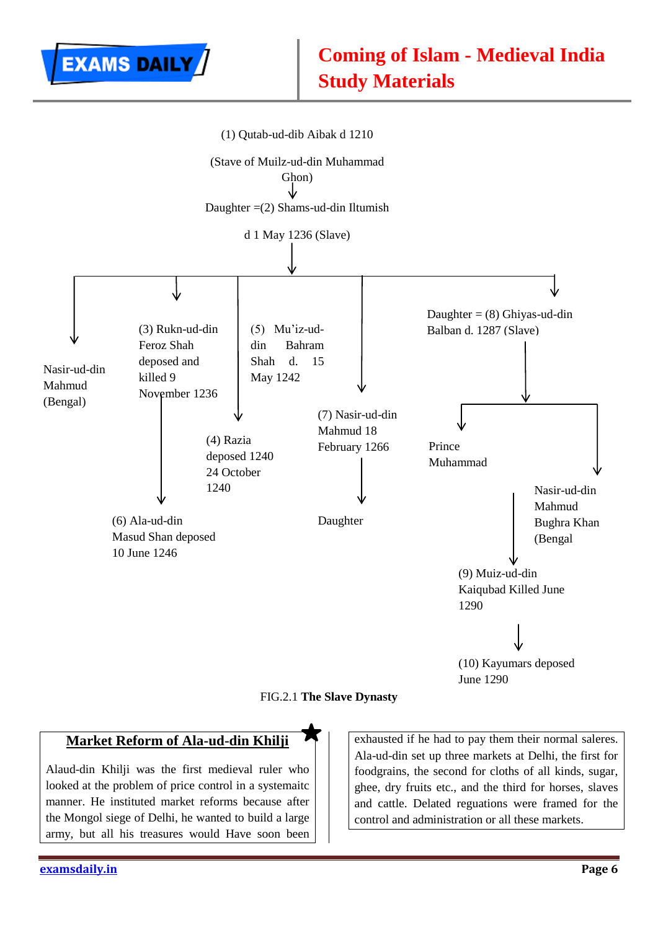





# **Market Reform of Ala-ud-din Khilji**

Alaud-din Khilji was the first medieval ruler who looked at the problem of price control in a systemaitc manner. He instituted market reforms because after the Mongol siege of Delhi, he wanted to build a large army, but all his treasures would Have soon been exhausted if he had to pay them their normal saleres. Ala-ud-din set up three markets at Delhi, the first for foodgrains, the second for cloths of all kinds, sugar, ghee, dry fruits etc., and the third for horses, slaves and cattle. Delated reguations were framed for the control and administration or all these markets.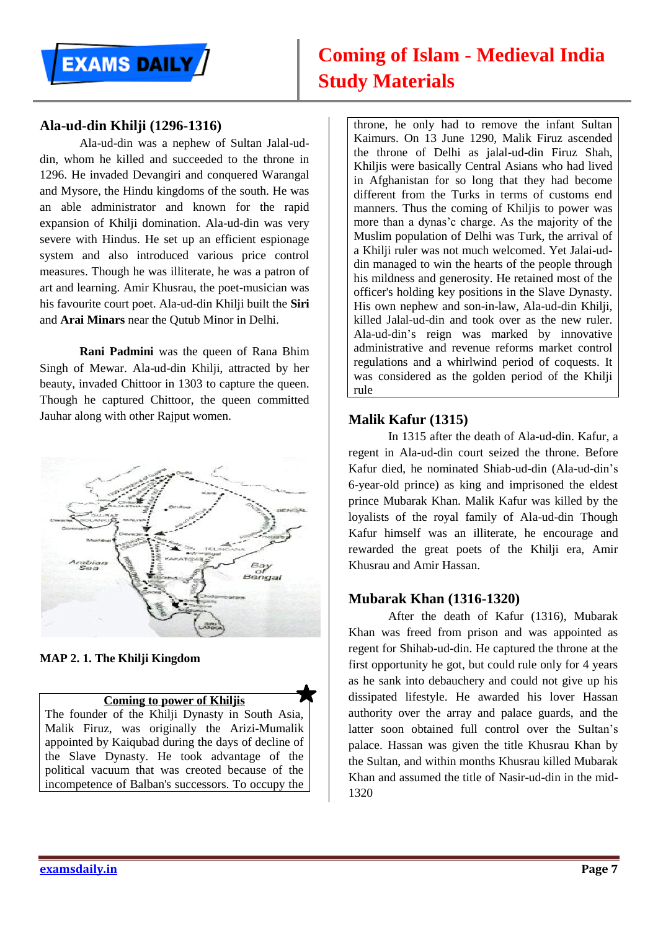### **Ala-ud-din Khilji (1296-1316)**

Ala-ud-din was a nephew of Sultan Jalal-uddin, whom he killed and succeeded to the throne in 1296. He invaded Devangiri and conquered Warangal and Mysore, the Hindu kingdoms of the south. He was an able administrator and known for the rapid expansion of Khilji domination. Ala-ud-din was very severe with Hindus. He set up an efficient espionage system and also introduced various price control measures. Though he was illiterate, he was a patron of art and learning. Amir Khusrau, the poet-musician was his favourite court poet. Ala-ud-din Khilji built the **Siri**  and **Arai Minars** near the Qutub Minor in Delhi.

**Rani Padmini** was the queen of Rana Bhim Singh of Mewar. Ala-ud-din Khilji, attracted by her beauty, invaded Chittoor in 1303 to capture the queen. Though he captured Chittoor, the queen committed Jauhar along with other Rajput women.



**MAP 2. 1. The Khilji Kingdom**

#### **Coming to power of Khiljis**

The founder of the Khilji Dynasty in South Asia, Malik Firuz, was originally the Arizi-Mumalik appointed by Kaiqubad during the days of decline of the Slave Dynasty. He took advantage of the political vacuum that was creoted because of the incompetence of Balban's successors. To occupy the throne, he only had to remove the infant Sultan Kaimurs. On 13 June 1290, Malik Firuz ascended the throne of Delhi as jalal-ud-din Firuz Shah, Khiljis were basically Central Asians who had lived in Afghanistan for so long that they had become different from the Turks in terms of customs end manners. Thus the coming of Khiljis to power was more than a dynas'c charge. As the majority of the Muslim population of Delhi was Turk, the arrival of a Khilji ruler was not much welcomed. Yet Jalai-uddin managed to win the hearts of the people through his mildness and generosity. He retained most of the officer's holding key positions in the Slave Dynasty. His own nephew and son-in-law, Ala-ud-din Khilji, killed Jalal-ud-din and took over as the new ruler. Ala-ud-din's reign was marked by innovative administrative and revenue reforms market control regulations and a whirlwind period of coquests. It was considered as the golden period of the Khilji rule

# **Malik Kafur (1315)**

In 1315 after the death of Ala-ud-din. Kafur, a regent in Ala-ud-din court seized the throne. Before Kafur died, he nominated Shiab-ud-din (Ala-ud-din's 6-year-old prince) as king and imprisoned the eldest prince Mubarak Khan. Malik Kafur was killed by the loyalists of the royal family of Ala-ud-din Though Kafur himself was an illiterate, he encourage and rewarded the great poets of the Khilji era, Amir Khusrau and Amir Hassan.

# **Mubarak Khan (1316-1320)**

After the death of Kafur (1316), Mubarak Khan was freed from prison and was appointed as regent for Shihab-ud-din. He captured the throne at the first opportunity he got, but could rule only for 4 years as he sank into debauchery and could not give up his dissipated lifestyle. He awarded his lover Hassan authority over the array and palace guards, and the latter soon obtained full control over the Sultan's palace. Hassan was given the title Khusrau Khan by the Sultan, and within months Khusrau killed Mubarak Khan and assumed the title of Nasir-ud-din in the mid-1320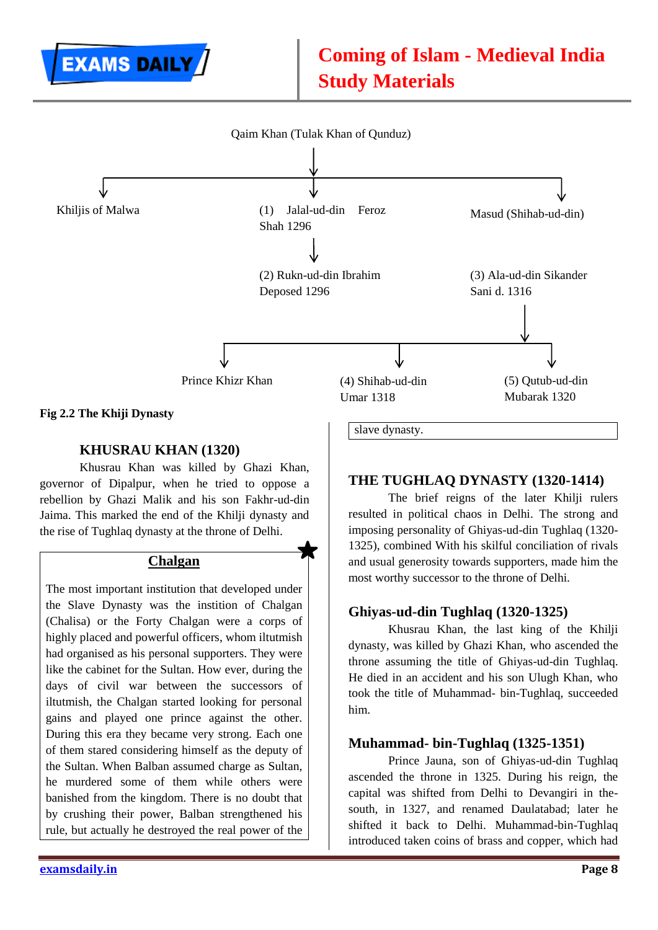

# **Coming of Islam - Medieval India Study Materials**



**Fig 2.2 The Khiji Dynasty**

#### **KHUSRAU KHAN (1320)**

Khusrau Khan was killed by Ghazi Khan, governor of Dipalpur, when he tried to oppose a rebellion by Ghazi Malik and his son Fakhr-ud-din Jaima. This marked the end of the Khilji dynasty and the rise of Tughlaq dynasty at the throne of Delhi.

# **Chalgan**

The most important institution that developed under the Slave Dynasty was the instition of Chalgan (Chalisa) or the Forty Chalgan were a corps of highly placed and powerful officers, whom iltutmish had organised as his personal supporters. They were like the cabinet for the Sultan. How ever, during the days of civil war between the successors of iltutmish, the Chalgan started looking for personal gains and played one prince against the other. During this era they became very strong. Each one of them stared considering himself as the deputy of the Sultan. When Balban assumed charge as Sultan, he murdered some of them while others were banished from the kingdom. There is no doubt that by crushing their power, Balban strengthened his rule, but actually he destroyed the real power of the slave dynasty.

# **THE TUGHLAQ DYNASTY (1320-1414)**

The brief reigns of the later Khilji rulers resulted in political chaos in Delhi. The strong and imposing personality of Ghiyas-ud-din Tughlaq (1320- 1325), combined With his skilful conciliation of rivals and usual generosity towards supporters, made him the most worthy successor to the throne of Delhi.

# **Ghiyas-ud-din Tughlaq (1320-1325)**

Khusrau Khan, the last king of the Khilji dynasty, was killed by Ghazi Khan, who ascended the throne assuming the title of Ghiyas-ud-din Tughlaq. He died in an accident and his son Ulugh Khan, who took the title of Muhammad- bin-Tughlaq, succeeded him.

#### **Muhammad- bin-Tughlaq (1325-1351)**

Prince Jauna, son of Ghiyas-ud-din Tughlaq ascended the throne in 1325. During his reign, the capital was shifted from Delhi to Devangiri in thesouth, in 1327, and renamed Daulatabad; later he shifted it back to Delhi. Muhammad-bin-Tughlaq introduced taken coins of brass and copper, which had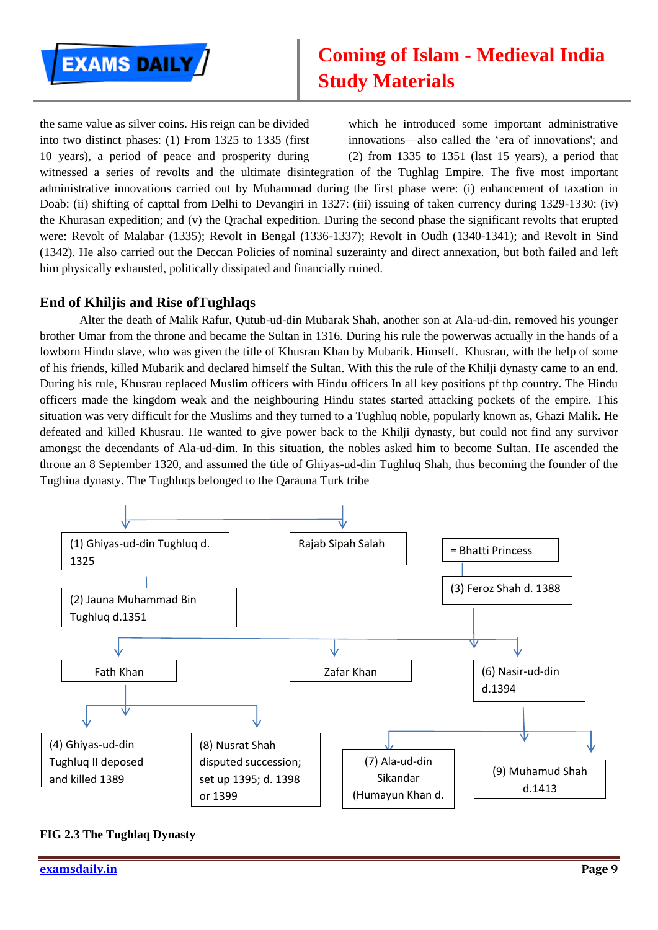

the same value as silver coins. His reign can be divided into two distinct phases: (1) From 1325 to 1335 (first 10 years), a period of peace and prosperity during

which he introduced some important administrative innovations—also called the 'era of innovations'; and (2) from 1335 to 1351 (last 15 years), a period that

witnessed a series of revolts and the ultimate disintegration of the Tughlag Empire. The five most important administrative innovations carried out by Muhammad during the first phase were: (i) enhancement of taxation in Doab: (ii) shifting of capttal from Delhi to Devangiri in 1327: (iii) issuing of taken currency during 1329-1330: (iv) the Khurasan expedition; and (v) the Qrachal expedition. During the second phase the significant revolts that erupted were: Revolt of Malabar (1335); Revolt in Bengal (1336-1337); Revolt in Oudh (1340-1341); and Revolt in Sind (1342). He also carried out the Deccan Policies of nominal suzerainty and direct annexation, but both failed and left him physically exhausted, politically dissipated and financially ruined.

#### **End of Khiljis and Rise ofTughlaqs**

Alter the death of Malik Rafur, Qutub-ud-din Mubarak Shah, another son at Ala-ud-din, removed his younger brother Umar from the throne and became the Sultan in 1316. During his rule the powerwas actually in the hands of a lowborn Hindu slave, who was given the title of Khusrau Khan by Mubarik. Himself. Khusrau, with the help of some of his friends, killed Mubarik and declared himself the Sultan. With this the rule of the Khilji dynasty came to an end. During his rule, Khusrau replaced Muslim officers with Hindu officers In all key positions pf thp country. The Hindu officers made the kingdom weak and the neighbouring Hindu states started attacking pockets of the empire. This situation was very difficult for the Muslims and they turned to a Tughluq noble, popularly known as, Ghazi Malik. He defeated and killed Khusrau. He wanted to give power back to the Khilji dynasty, but could not find any survivor amongst the decendants of Ala-ud-dim. In this situation, the nobles asked him to become Sultan. He ascended the throne an 8 September 1320, and assumed the title of Ghiyas-ud-din Tughluq Shah, thus becoming the founder of the Tughiua dynasty. The Tughluqs belonged to the Qarauna Turk tribe



#### **FIG 2.3 The Tughlaq Dynasty**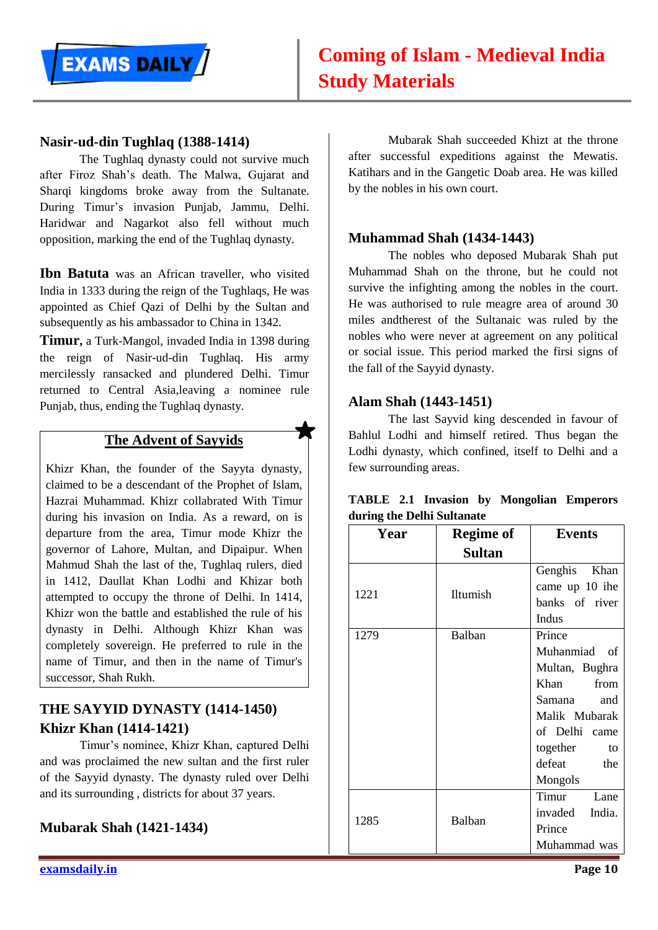#### **Nasir-ud-din Tughlaq (1388-1414)**

The Tughlaq dynasty could not survive much after Firoz Shah's death. The Malwa, Gujarat and Sharqi kingdoms broke away from the Sultanate. During Timur's invasion Punjab, Jammu, Delhi. Haridwar and Nagarkot also fell without much opposition, marking the end of the Tughlaq dynasty.

**Ibn Batuta** was an African traveller, who visited India in 1333 during the reign of the Tughlaqs, He was appointed as Chief Qazi of Delhi by the Sultan and subsequently as his ambassador to China in 1342.

**Timur,** a Turk-Mangol, invaded India in 1398 during the reign of Nasir-ud-din Tughlaq. His army mercilessly ransacked and plundered Delhi. Timur returned to Central Asia,leaving a nominee rule Punjab, thus, ending the Tughlaq dynasty.

#### **The Advent of Sayyids**

Khizr Khan, the founder of the Sayyta dynasty, claimed to be a descendant of the Prophet of Islam, Hazrai Muhammad. Khizr collabrated With Timur during his invasion on India. As a reward, on is departure from the area, Timur mode Khizr the governor of Lahore, Multan, and Dipaipur. When Mahmud Shah the last of the, Tughlaq rulers, died in 1412, Daullat Khan Lodhi and Khizar both attempted to occupy the throne of Delhi. In 1414, Khizr won the battle and established the rule of his dynasty in Delhi. Although Khizr Khan was completely sovereign. He preferred to rule in the name of Timur, and then in the name of Timur's successor, Shah Rukh.

# **THE SAYYID DYNASTY (1414-1450) Khizr Khan (1414-1421)**

Timur's nominee, Khizr Khan, captured Delhi and was proclaimed the new sultan and the first ruler of the Sayyid dynasty. The dynasty ruled over Delhi and its surrounding , districts for about 37 years.

#### **Mubarak Shah (1421-1434)**

Mubarak Shah succeeded Khizt at the throne after successful expeditions against the Mewatis. Katihars and in the Gangetic Doab area. He was killed by the nobles in his own court.

#### **Muhammad Shah (1434-1443)**

The nobles who deposed Mubarak Shah put Muhammad Shah on the throne, but he could not survive the infighting among the nobles in the court. He was authorised to rule meagre area of around 30 miles andtherest of the Sultanaic was ruled by the nobles who were never at agreement on any political or social issue. This period marked the firsi signs of the fall of the Sayyid dynasty.

#### **Alam Shah (1443-1451)**

The last Sayvid king descended in favour of Bahlul Lodhi and himself retired. Thus began the Lodhi dynasty, which confined, itself to Delhi and a few surrounding areas.

| Year | <b>Regime of</b> | <b>Events</b>     |
|------|------------------|-------------------|
|      | <b>Sultan</b>    |                   |
|      | Iltumish         | Genghis Khan      |
| 1221 |                  | came up 10 ihe    |
|      |                  | banks of river    |
|      |                  | Indus             |
| 1279 | Balban           | Prince            |
|      |                  | Muhanmiad of      |
|      |                  | Multan, Bughra    |
|      |                  | Khan<br>from      |
|      |                  | Samana and        |
|      |                  | Malik Mubarak     |
|      |                  | of Delhi came     |
|      |                  | together<br>to    |
|      |                  | defeat<br>the     |
|      |                  | Mongols           |
| 1285 | Balban           | Timur<br>Lane     |
|      |                  | invaded<br>India. |
|      |                  | Prince            |
|      |                  | Muhammad was      |

#### **TABLE 2.1 Invasion by Mongolian Emperors during the Delhi Sultanate**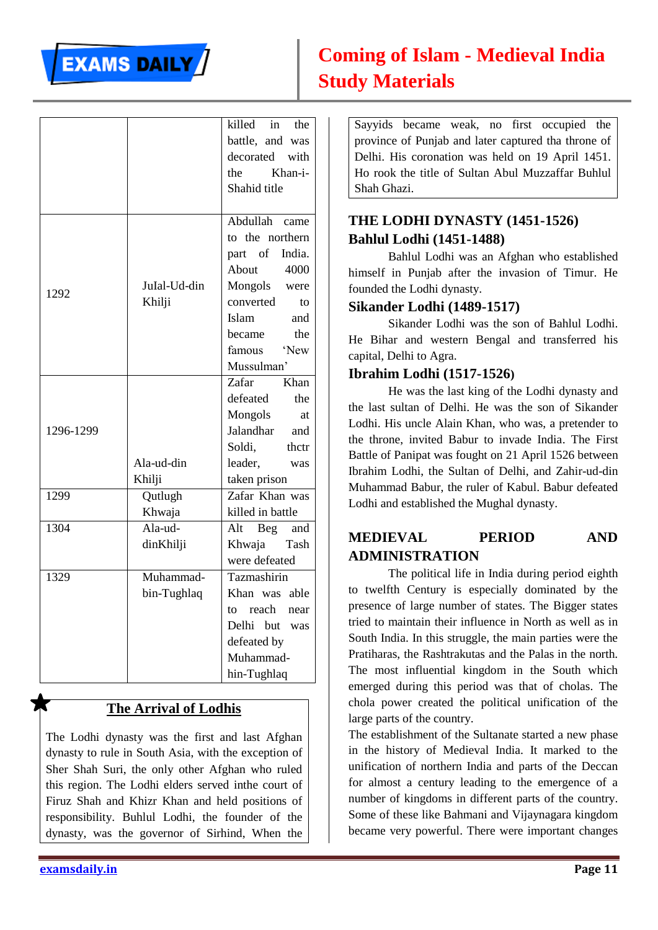

# **Coming of Islam - Medieval India Study Materials**

|           |              | killed<br>in<br>the |  |
|-----------|--------------|---------------------|--|
|           |              | battle, and was     |  |
|           |              | decorated<br>with   |  |
|           |              | the<br>Khan-i-      |  |
|           |              | Shahid title        |  |
|           |              |                     |  |
|           |              | Abdullah came       |  |
|           |              | to the northern     |  |
|           |              | part of India.      |  |
|           |              | About<br>4000       |  |
| 1292      | JuIal-Ud-din | Mongols<br>were     |  |
|           | Khilji       | converted<br>to     |  |
|           |              | Islam<br>and        |  |
|           |              | became<br>the       |  |
|           |              | 'New<br>famous      |  |
|           |              | Mussulman'          |  |
|           |              | Zafar<br>Khan       |  |
|           |              | defeated<br>the     |  |
|           |              | Mongols<br>at       |  |
| 1296-1299 |              | Jalandhar<br>and    |  |
|           |              | Soldi,<br>thetr     |  |
|           | Ala-ud-din   | leader,<br>was      |  |
|           | Khilji       | taken prison        |  |
| 1299      | Qutlugh      | Zafar Khan was      |  |
|           | Khwaja       | killed in battle    |  |
| 1304      | Ala-ud-      | Alt<br>Beg<br>and   |  |
|           | dinKhilji    | Khwaja<br>Tash      |  |
|           |              | were defeated       |  |
| 1329      | Muhammad-    | Tazmashirin         |  |
|           | bin-Tughlaq  | Khan was<br>able    |  |
|           |              | reach<br>to<br>near |  |
|           |              | Delhi<br>but was    |  |
|           |              | defeated by         |  |
|           |              | Muhammad-           |  |
|           |              | hin-Tughlaq         |  |

# **The Arrival of Lodhis**

The Lodhi dynasty was the first and last Afghan dynasty to rule in South Asia, with the exception of Sher Shah Suri, the only other Afghan who ruled this region. The Lodhi elders served inthe court of Firuz Shah and Khizr Khan and held positions of responsibility. Buhlul Lodhi, the founder of the dynasty, was the governor of Sirhind, When the Sayyids became weak, no first occupied the province of Punjab and later captured tha throne of Delhi. His coronation was held on 19 April 1451. Ho rook the title of Sultan Abul Muzzaffar Buhlul Shah Ghazi.

# **THE LODHI DYNASTY (1451-1526) Bahlul Lodhi (1451-1488)**

Bahlul Lodhi was an Afghan who established himself in Punjab after the invasion of Timur. He founded the Lodhi dynasty.

# **Sikander Lodhi (1489-1517)**

Sikander Lodhi was the son of Bahlul Lodhi. He Bihar and western Bengal and transferred his capital, Delhi to Agra.

# **Ibrahim Lodhi (1517-1526)**

He was the last king of the Lodhi dynasty and the last sultan of Delhi. He was the son of Sikander Lodhi. His uncle Alain Khan, who was, a pretender to the throne, invited Babur to invade India. The First Battle of Panipat was fought on 21 April 1526 between Ibrahim Lodhi, the Sultan of Delhi, and Zahir-ud-din Muhammad Babur, the ruler of Kabul. Babur defeated Lodhi and established the Mughal dynasty.

# **MEDIEVAL PERIOD AND ADMINISTRATION**

The political life in India during period eighth to twelfth Century is especially dominated by the presence of large number of states. The Bigger states tried to maintain their influence in North as well as in South India. In this struggle, the main parties were the Pratiharas, the Rashtrakutas and the Palas in the north. The most influential kingdom in the South which emerged during this period was that of cholas. The chola power created the political unification of the large parts of the country.

The establishment of the Sultanate started a new phase in the history of Medieval India. It marked to the unification of northern India and parts of the Deccan for almost a century leading to the emergence of a number of kingdoms in different parts of the country. Some of these like Bahmani and Vijaynagara kingdom became very powerful. There were important changes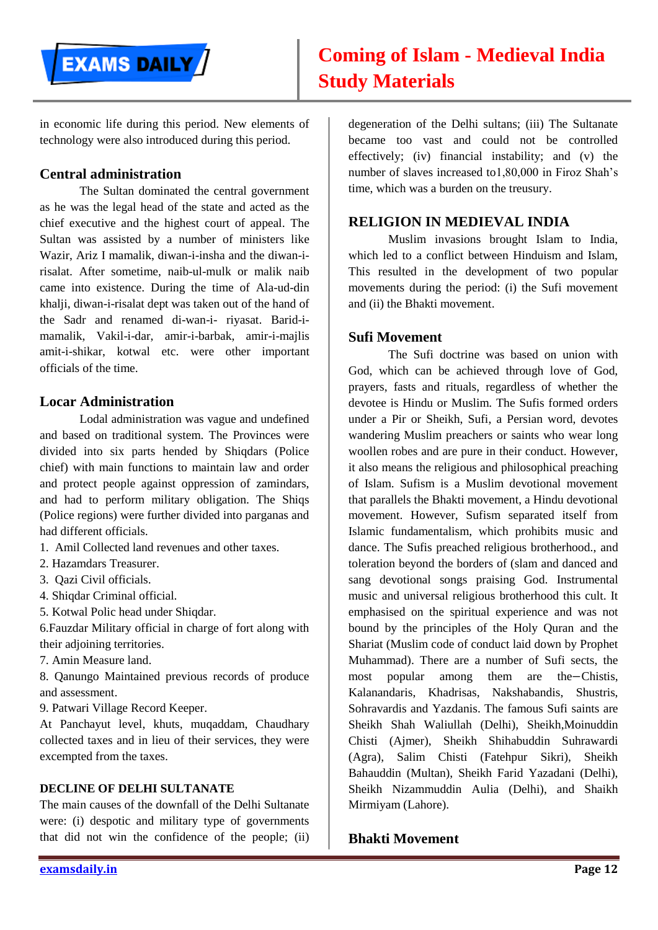

in economic life during this period. New elements of technology were also introduced during this period.

### **Central administration**

The Sultan dominated the central government as he was the legal head of the state and acted as the chief executive and the highest court of appeal. The Sultan was assisted by a number of ministers like Wazir, Ariz I mamalik, diwan-i-insha and the diwan-irisalat. After sometime, naib-ul-mulk or malik naib came into existence. During the time of Ala-ud-din khalji, diwan-i-risalat dept was taken out of the hand of the Sadr and renamed di-wan-i- riyasat. Barid-imamalik, Vakil-i-dar, amir-i-barbak, amir-i-majlis amit-i-shikar, kotwal etc. were other important officials of the time.

#### **Locar Administration**

Lodal administration was vague and undefined and based on traditional system. The Provinces were divided into six parts hended by Shiqdars (Police chief) with main functions to maintain law and order and protect people against oppression of zamindars, and had to perform military obligation. The Shiqs (Police regions) were further divided into parganas and had different officials.

- 1. Amil Collected land revenues and other taxes.
- 2. Hazamdars Treasurer.
- 3. Qazi Civil officials.
- 4. Shiqdar Criminal official.
- 5. Kotwal Polic head under Shiqdar.

6.Fauzdar Military official in charge of fort along with their adjoining territories.

7. Amin Measure land.

8. Qanungo Maintained previous records of produce and assessment.

9. Patwari Village Record Keeper.

At Panchayut level, khuts, muqaddam, Chaudhary collected taxes and in lieu of their services, they were excempted from the taxes.

#### **DECLINE OF DELHI SULTANATE**

The main causes of the downfall of the Delhi Sultanate were: (i) despotic and military type of governments that did not win the confidence of the people; (ii)

degeneration of the Delhi sultans; (iii) The Sultanate became too vast and could not be controlled effectively; (iv) financial instability; and (v) the number of slaves increased to1,80,000 in Firoz Shah's time, which was a burden on the treusury.

### **RELIGION IN MEDIEVAL INDIA**

Muslim invasions brought Islam to India, which led to a conflict between Hinduism and Islam, This resulted in the development of two popular movements during the period: (i) the Sufi movement and (ii) the Bhakti movement.

#### **Sufi Movement**

The Sufi doctrine was based on union with God, which can be achieved through love of God, prayers, fasts and rituals, regardless of whether the devotee is Hindu or Muslim. The Sufis formed orders under a Pir or Sheikh, Sufi, a Persian word, devotes wandering Muslim preachers or saints who wear long woollen robes and are pure in their conduct. However, it also means the religious and philosophical preaching of Islam. Sufism is a Muslim devotional movement that parallels the Bhakti movement, a Hindu devotional movement. However, Sufism separated itself from Islamic fundamentalism, which prohibits music and dance. The Sufis preached religious brotherhood., and toleration beyond the borders of (slam and danced and sang devotional songs praising God. Instrumental music and universal religious brotherhood this cult. It emphasised on the spiritual experience and was not bound by the principles of the Holy Quran and the Shariat (Muslim code of conduct laid down by Prophet Muhammad). There are a number of Sufi sects, the most popular among them are the−Chistis, Kalanandaris, Khadrisas, Nakshabandis, Shustris, Sohravardis and Yazdanis. The famous Sufi saints are Sheikh Shah Waliullah (Delhi), Sheikh,Moinuddin Chisti (Ajmer), Sheikh Shihabuddin Suhrawardi (Agra), Salim Chisti (Fatehpur Sikri), Sheikh Bahauddin (Multan), Sheikh Farid Yazadani (Delhi), Sheikh Nizammuddin Aulia (Delhi), and Shaikh Mirmiyam (Lahore).

# **Bhakti Movement**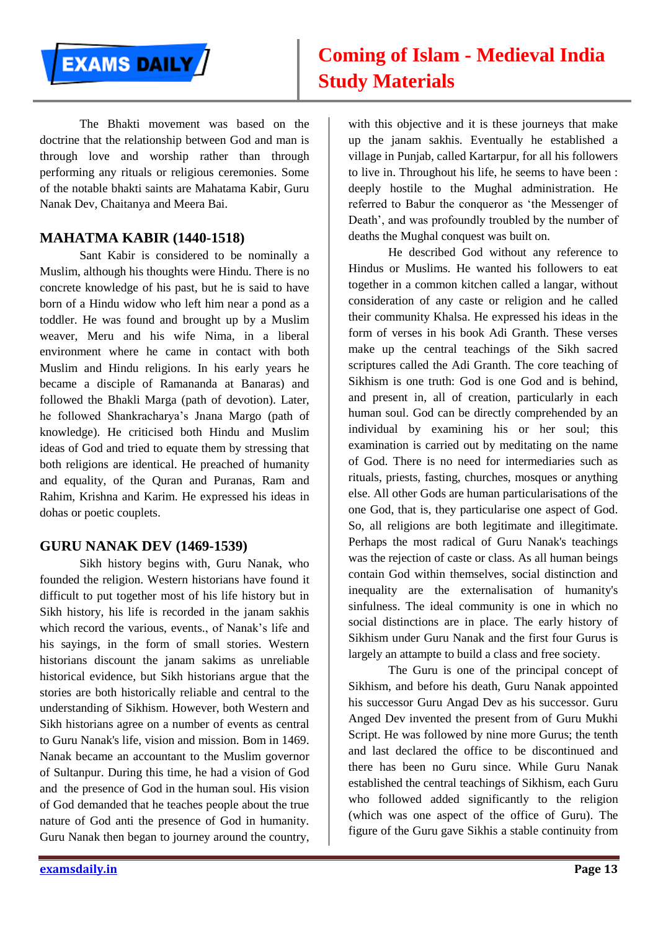

The Bhakti movement was based on the doctrine that the relationship between God and man is through love and worship rather than through performing any rituals or religious ceremonies. Some of the notable bhakti saints are Mahatama Kabir, Guru Nanak Dev, Chaitanya and Meera Bai.

#### **MAHATMA KABIR (1440-1518)**

Sant Kabir is considered to be nominally a Muslim, although his thoughts were Hindu. There is no concrete knowledge of his past, but he is said to have born of a Hindu widow who left him near a pond as a toddler. He was found and brought up by a Muslim weaver, Meru and his wife Nima, in a liberal environment where he came in contact with both Muslim and Hindu religions. In his early years he became a disciple of Ramananda at Banaras) and followed the Bhakli Marga (path of devotion). Later, he followed Shankracharya's Jnana Margo (path of knowledge). He criticised both Hindu and Muslim ideas of God and tried to equate them by stressing that both religions are identical. He preached of humanity and equality, of the Quran and Puranas, Ram and Rahim, Krishna and Karim. He expressed his ideas in dohas or poetic couplets.

#### **GURU NANAK DEV (1469-1539)**

Sikh history begins with, Guru Nanak, who founded the religion. Western historians have found it difficult to put together most of his life history but in Sikh history, his life is recorded in the janam sakhis which record the various, events., of Nanak's life and his sayings, in the form of small stories. Western historians discount the janam sakims as unreliable historical evidence, but Sikh historians argue that the stories are both historically reliable and central to the understanding of Sikhism. However, both Western and Sikh historians agree on a number of events as central to Guru Nanak's life, vision and mission. Bom in 1469. Nanak became an accountant to the Muslim governor of Sultanpur. During this time, he had a vision of God and the presence of God in the human soul. His vision of God demanded that he teaches people about the true nature of God anti the presence of God in humanity. Guru Nanak then began to journey around the country,

with this objective and it is these journeys that make up the janam sakhis. Eventually he established a village in Punjab, called Kartarpur, for all his followers to live in. Throughout his life, he seems to have been : deeply hostile to the Mughal administration. He referred to Babur the conqueror as 'the Messenger of Death', and was profoundly troubled by the number of deaths the Mughal conquest was built on.

He described God without any reference to Hindus or Muslims. He wanted his followers to eat together in a common kitchen called a langar, without consideration of any caste or religion and he called their community Khalsa. He expressed his ideas in the form of verses in his book Adi Granth. These verses make up the central teachings of the Sikh sacred scriptures called the Adi Granth. The core teaching of Sikhism is one truth: God is one God and is behind, and present in, all of creation, particularly in each human soul. God can be directly comprehended by an individual by examining his or her soul; this examination is carried out by meditating on the name of God. There is no need for intermediaries such as rituals, priests, fasting, churches, mosques or anything else. All other Gods are human particularisations of the one God, that is, they particularise one aspect of God. So, all religions are both legitimate and illegitimate. Perhaps the most radical of Guru Nanak's teachings was the rejection of caste or class. As all human beings contain God within themselves, social distinction and inequality are the externalisation of humanity's sinfulness. The ideal community is one in which no social distinctions are in place. The early history of Sikhism under Guru Nanak and the first four Gurus is largely an attampte to build a class and free society.

The Guru is one of the principal concept of Sikhism, and before his death, Guru Nanak appointed his successor Guru Angad Dev as his successor. Guru Anged Dev invented the present from of Guru Mukhi Script. He was followed by nine more Gurus; the tenth and last declared the office to be discontinued and there has been no Guru since. While Guru Nanak established the central teachings of Sikhism, each Guru who followed added significantly to the religion (which was one aspect of the office of Guru). The figure of the Guru gave Sikhis a stable continuity from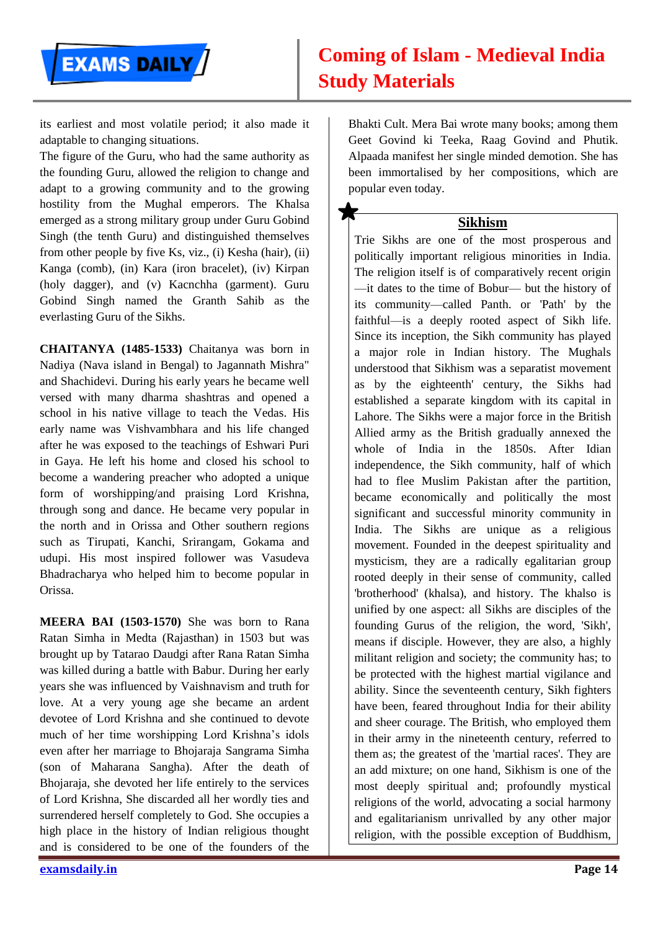

its earliest and most volatile period; it also made it adaptable to changing situations.

The figure of the Guru, who had the same authority as the founding Guru, allowed the religion to change and adapt to a growing community and to the growing hostility from the Mughal emperors. The Khalsa emerged as a strong military group under Guru Gobind Singh (the tenth Guru) and distinguished themselves from other people by five Ks, viz., (i) Kesha (hair), (ii) Kanga (comb), (in) Kara (iron bracelet), (iv) Kirpan (holy dagger), and (v) Kacnchha (garment). Guru Gobind Singh named the Granth Sahib as the everlasting Guru of the Sikhs.

**CHAITANYA (1485-1533)** Chaitanya was born in Nadiya (Nava island in Bengal) to Jagannath Mishra" and Shachidevi. During his early years he became well versed with many dharma shashtras and opened a school in his native village to teach the Vedas. His early name was Vishvambhara and his life changed after he was exposed to the teachings of Eshwari Puri in Gaya. He left his home and closed his school to become a wandering preacher who adopted a unique form of worshipping/and praising Lord Krishna, through song and dance. He became very popular in the north and in Orissa and Other southern regions such as Tirupati, Kanchi, Srirangam, Gokama and udupi. His most inspired follower was Vasudeva Bhadracharya who helped him to become popular in Orissa.

**MEERA BAI (1503-1570)** She was born to Rana Ratan Simha in Medta (Rajasthan) in 1503 but was brought up by Tatarao Daudgi after Rana Ratan Simha was killed during a battle with Babur. During her early years she was influenced by Vaishnavism and truth for love. At a very young age she became an ardent devotee of Lord Krishna and she continued to devote much of her time worshipping Lord Krishna's idols even after her marriage to Bhojaraja Sangrama Simha (son of Maharana Sangha). After the death of Bhojaraja, she devoted her life entirely to the services of Lord Krishna, She discarded all her wordly ties and surrendered herself completely to God. She occupies a high place in the history of Indian religious thought and is considered to be one of the founders of the

Bhakti Cult. Mera Bai wrote many books; among them Geet Govind ki Teeka, Raag Govind and Phutik. Alpaada manifest her single minded demotion. She has been immortalised by her compositions, which are popular even today.

#### **Sikhism**

Trie Sikhs are one of the most prosperous and politically important religious minorities in India. The religion itself is of comparatively recent origin —it dates to the time of Bobur— but the history of its community—called Panth. or 'Path' by the faithful—is a deeply rooted aspect of Sikh life. Since its inception, the Sikh community has played a major role in Indian history. The Mughals understood that Sikhism was a separatist movement as by the eighteenth' century, the Sikhs had established a separate kingdom with its capital in Lahore. The Sikhs were a major force in the British Allied army as the British gradually annexed the whole of India in the 1850s. After Idian independence, the Sikh community, half of which had to flee Muslim Pakistan after the partition, became economically and politically the most significant and successful minority community in India. The Sikhs are unique as a religious movement. Founded in the deepest spirituality and mysticism, they are a radically egalitarian group rooted deeply in their sense of community, called 'brotherhood' (khalsa), and history. The khalso is unified by one aspect: all Sikhs are disciples of the founding Gurus of the religion, the word, 'Sikh', means if disciple. However, they are also, a highly militant religion and society; the community has; to be protected with the highest martial vigilance and ability. Since the seventeenth century, Sikh fighters have been, feared throughout India for their ability and sheer courage. The British, who employed them in their army in the nineteenth century, referred to them as; the greatest of the 'martial races'. They are an add mixture; on one hand, Sikhism is one of the most deeply spiritual and; profoundly mystical religions of the world, advocating a social harmony and egalitarianism unrivalled by any other major religion, with the possible exception of Buddhism,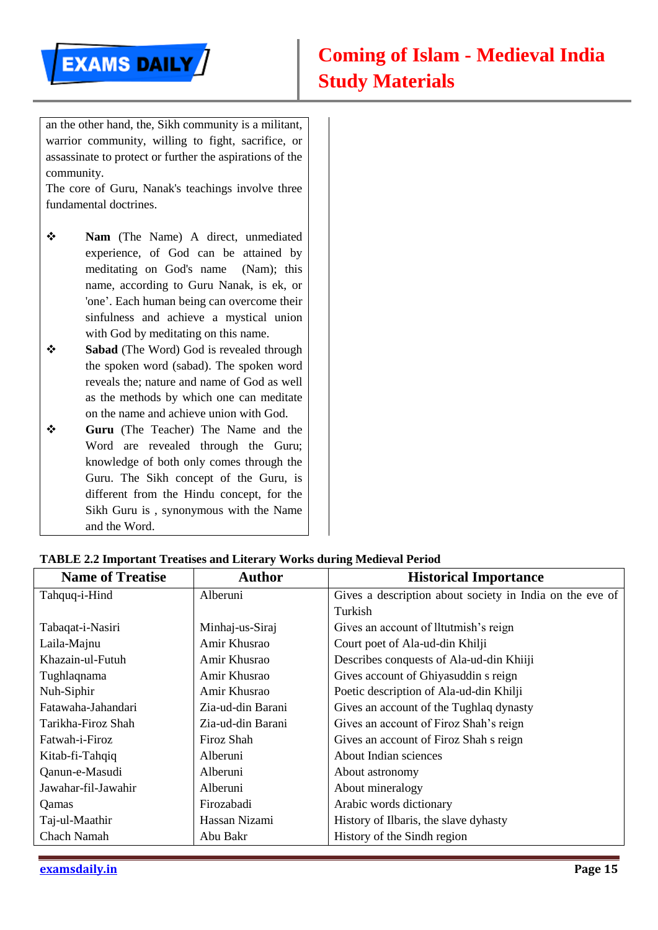

an the other hand, the, Sikh community is a militant, warrior community, willing to fight, sacrifice, or assassinate to protect or further the aspirations of the community.

The core of Guru, Nanak's teachings involve three fundamental doctrines.

- $\div$  **Nam** (The Name) A direct, unmediated experience, of God can be attained by meditating on God's name (Nam); this name, according to Guru Nanak, is ek, or 'one'. Each human being can overcome their sinfulness and achieve a mystical union with God by meditating on this name.
- **Sabad** (The Word) God is revealed through the spoken word (sabad). The spoken word reveals the; nature and name of God as well as the methods by which one can meditate on the name and achieve union with God.
- **Guru** (The Teacher) The Name and the Word are revealed through the Guru; knowledge of both only comes through the Guru. The Sikh concept of the Guru, is different from the Hindu concept, for the Sikh Guru is , synonymous with the Name and the Word.

| <b>Name of Treatise</b> | Author            | <b>Historical Importance</b>                             |
|-------------------------|-------------------|----------------------------------------------------------|
| Tahquq-i-Hind           | Alberuni          | Gives a description about society in India on the eve of |
|                         |                   | Turkish                                                  |
| Tabaqat-i-Nasiri        | Minhaj-us-Siraj   | Gives an account of Iltutmish's reign                    |
| Laila-Majnu             | Amir Khusrao      | Court poet of Ala-ud-din Khilji                          |
| Khazain-ul-Futuh        | Amir Khusrao      | Describes conquests of Ala-ud-din Khiiji                 |
| Tughlaqnama             | Amir Khusrao      | Gives account of Ghiyasuddin s reign                     |
| Nuh-Siphir              | Amir Khusrao      | Poetic description of Ala-ud-din Khilji                  |
| Fatawaha-Jahandari      | Zia-ud-din Barani | Gives an account of the Tughlaq dynasty                  |
| Tarikha-Firoz Shah      | Zia-ud-din Barani | Gives an account of Firoz Shah's reign                   |
| Fatwah-i-Firoz          | Firoz Shah        | Gives an account of Firoz Shah s reign                   |
| Kitab-fi-Tahqiq         | Alberuni          | About Indian sciences                                    |
| Qanun-e-Masudi          | Alberuni          | About astronomy                                          |
| Jawahar-fil-Jawahir     | Alberuni          | About mineralogy                                         |
| Qamas                   | Firozabadi        | Arabic words dictionary                                  |
| Taj-ul-Maathir          | Hassan Nizami     | History of Ilbaris, the slave dyhasty                    |
| <b>Chach Namah</b>      | Abu Bakr          | History of the Sindh region                              |

#### **TABLE 2.2 Important Treatises and Literary Works during Medieval Period**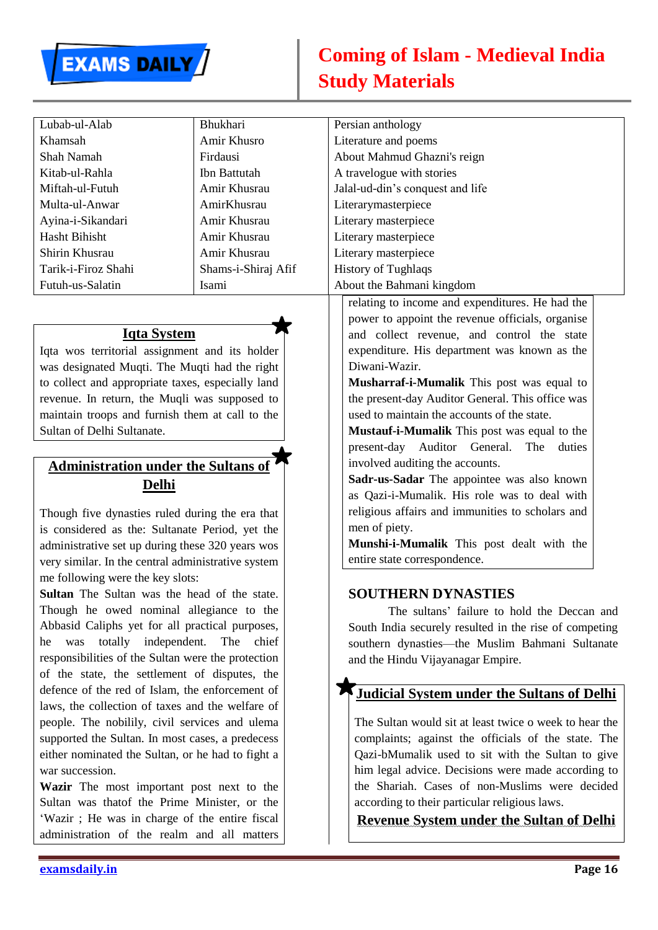

# **Coming of Islam - Medieval India Study Materials**

| Lubab-ul-Alab                                                                                 | <b>Bhukhari</b>     | Persian anthology                                      |  |
|-----------------------------------------------------------------------------------------------|---------------------|--------------------------------------------------------|--|
| Khamsah                                                                                       | Amir Khusro         | Literature and poems                                   |  |
| <b>Shah Namah</b>                                                                             | Firdausi            | About Mahmud Ghazni's reign                            |  |
| Kitab-ul-Rahla                                                                                | Ibn Battutah        | A travelogue with stories                              |  |
| Miftah-ul-Futuh                                                                               | Amir Khusrau        | Jalal-ud-din's conquest and life                       |  |
| Multa-ul-Anwar                                                                                | AmirKhusrau         | Literarymasterpiece                                    |  |
| Ayina-i-Sikandari                                                                             | Amir Khusrau        | Literary masterpiece                                   |  |
| Hasht Bihisht                                                                                 | Amir Khusrau        | Literary masterpiece                                   |  |
| Shirin Khusrau                                                                                | Amir Khusrau        | Literary masterpiece                                   |  |
| Tarik-i-Firoz Shahi                                                                           | Shams-i-Shiraj Afif | <b>History of Tughlaqs</b>                             |  |
| Futuh-us-Salatin                                                                              | Isami               | About the Bahmani kingdom                              |  |
|                                                                                               |                     | relating to income and expenditures. He had the        |  |
|                                                                                               |                     | power to appoint the revenue officials, organise       |  |
| <b>Igta System</b>                                                                            |                     | and collect revenue, and control the state             |  |
| Iqta wos territorial assignment and its holder                                                |                     | expenditure. His department was known as the           |  |
| was designated Muqti. The Muqti had the right                                                 |                     | Diwani-Wazir.                                          |  |
| to collect and appropriate taxes, especially land                                             |                     | Musharraf-i-Mumalik This post was equal to             |  |
| revenue. In return, the Muqli was supposed to                                                 |                     | the present-day Auditor General. This office was       |  |
| maintain troops and furnish them at call to the                                               |                     | used to maintain the accounts of the state.            |  |
| Sultan of Delhi Sultanate.                                                                    |                     | Mustauf-i-Mumalik This post was equal to the           |  |
|                                                                                               |                     | present-day Auditor General.<br>The<br>duties          |  |
| <b>Administration under the Sultans of</b>                                                    |                     | involved auditing the accounts.                        |  |
| <b>Delhi</b>                                                                                  |                     | Sadr-us-Sadar The appointee was also known             |  |
|                                                                                               |                     | as Qazi-i-Mumalik. His role was to deal with           |  |
| Though five dynasties ruled during the era that                                               |                     | religious affairs and immunities to scholars and       |  |
| is considered as the: Sultanate Period, yet the                                               |                     | men of piety.                                          |  |
| administrative set up during these 320 years wos                                              |                     | Munshi-i-Mumalik This post dealt with the              |  |
| very similar. In the central administrative system                                            |                     | entire state correspondence.                           |  |
| me following were the key slots:                                                              |                     |                                                        |  |
| <b>Sultan</b> The Sultan was the head of the state.                                           |                     | <b>SOUTHERN DYNASTIES</b>                              |  |
| Though he owed nominal allegiance to the                                                      |                     | The sultans' failure to hold the Deccan and            |  |
| Abbasid Caliphs yet for all practical purposes,                                               |                     | South India securely resulted in the rise of competing |  |
| totally independent.<br>The<br>chief<br>was<br>he                                             |                     | southern dynasties—the Muslim Bahmani Sultanate        |  |
| responsibilities of the Sultan were the protection                                            |                     | and the Hindu Vijayanagar Empire.                      |  |
| of the state, the settlement of disputes, the                                                 |                     |                                                        |  |
|                                                                                               |                     |                                                        |  |
| defence of the red of Islam, the enforcement of                                               |                     |                                                        |  |
|                                                                                               |                     | <b>Judicial System under the Sultans of Delhi</b>      |  |
| laws, the collection of taxes and the welfare of                                              |                     |                                                        |  |
| people. The nobility, civil services and ulema                                                |                     | The Sultan would sit at least twice o week to hear the |  |
| supported the Sultan. In most cases, a predecess                                              |                     | complaints; against the officials of the state. The    |  |
| either nominated the Sultan, or he had to fight a                                             |                     | Qazi-bMumalik used to sit with the Sultan to give      |  |
| war succession.                                                                               |                     | him legal advice. Decisions were made according to     |  |
| Wazir The most important post next to the                                                     |                     | the Shariah. Cases of non-Muslims were decided         |  |
| Sultan was that<br>of the Prime Minister, or the                                              |                     | according to their particular religious laws.          |  |
| 'Wazir ; He was in charge of the entire fiscal<br>administration of the realm and all matters |                     | <b>Revenue System under the Sultan of Delhi</b>        |  |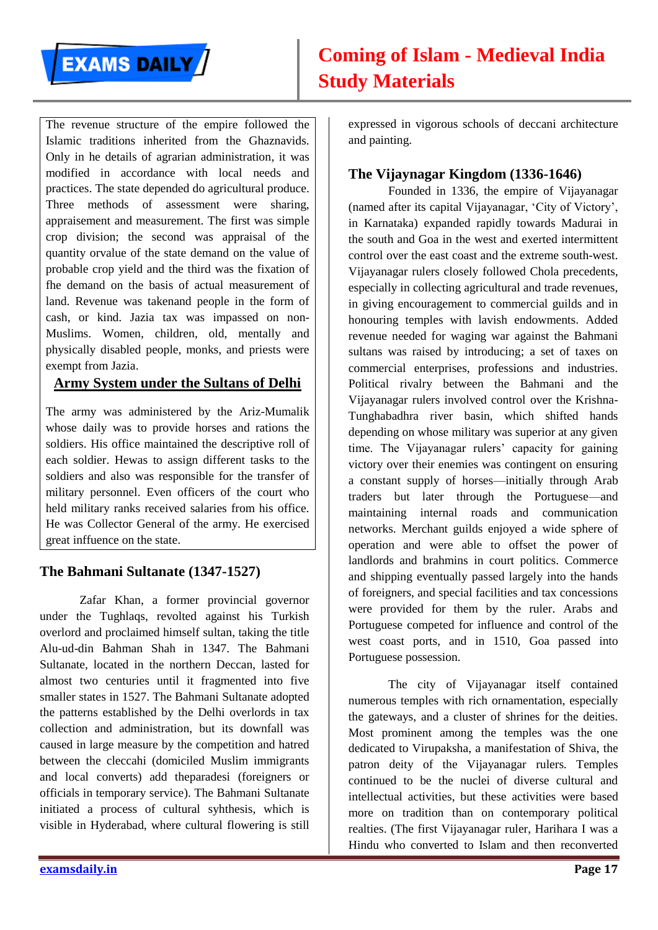

The revenue structure of the empire followed the Islamic traditions inherited from the Ghaznavids. Only in he details of agrarian administration, it was modified in accordance with local needs and practices. The state depended do agricultural produce. Three methods of assessment were sharing, appraisement and measurement. The first was simple crop division; the second was appraisal of the quantity orvalue of the state demand on the value of probable crop yield and the third was the fixation of fhe demand on the basis of actual measurement of land. Revenue was takenand people in the form of cash, or kind. Jazia tax was impassed on non-Muslims. Women, children, old, mentally and physically disabled people, monks, and priests were exempt from Jazia.

#### **Army System under the Sultans of Delhi**

The army was administered by the Ariz-Mumalik whose daily was to provide horses and rations the soldiers. His office maintained the descriptive roll of each soldier. Hewas to assign different tasks to the soldiers and also was responsible for the transfer of military personnel. Even officers of the court who held military ranks received salaries from his office. He was Collector General of the army. He exercised great inffuence on the state.

# **The Bahmani Sultanate (1347-1527)**

Zafar Khan, a former provincial governor under the Tughlaqs, revolted against his Turkish overlord and proclaimed himself sultan, taking the title Alu-ud-din Bahman Shah in 1347. The Bahmani Sultanate, located in the northern Deccan, lasted for almost two centuries until it fragmented into five smaller states in 1527. The Bahmani Sultanate adopted the patterns established by the Delhi overlords in tax collection and administration, but its downfall was caused in large measure by the competition and hatred between the cleccahi (domiciled Muslim immigrants and local converts) add theparadesi (foreigners or officials in temporary service). The Bahmani Sultanate initiated a process of cultural syhthesis, which is visible in Hyderabad, where cultural flowering is still expressed in vigorous schools of deccani architecture and painting.

# **The Vijaynagar Kingdom (1336-1646)**

Founded in 1336, the empire of Vijayanagar (named after its capital Vijayanagar, 'City of Victory', in Karnataka) expanded rapidly towards Madurai in the south and Goa in the west and exerted intermittent control over the east coast and the extreme south-west. Vijayanagar rulers closely followed Chola precedents, especially in collecting agricultural and trade revenues, in giving encouragement to commercial guilds and in honouring temples with lavish endowments. Added revenue needed for waging war against the Bahmani sultans was raised by introducing; a set of taxes on commercial enterprises, professions and industries. Political rivalry between the Bahmani and the Vijayanagar rulers involved control over the Krishna-Tunghabadhra river basin, which shifted hands depending on whose military was superior at any given time. The Vijayanagar rulers' capacity for gaining victory over their enemies was contingent on ensuring a constant supply of horses—initially through Arab traders but later through the Portuguese—and maintaining internal roads and communication networks. Merchant guilds enjoyed a wide sphere of operation and were able to offset the power of landlords and brahmins in court politics. Commerce and shipping eventually passed largely into the hands of foreigners, and special facilities and tax concessions were provided for them by the ruler. Arabs and Portuguese competed for influence and control of the west coast ports, and in 1510, Goa passed into Portuguese possession.

The city of Vijayanagar itself contained numerous temples with rich ornamentation, especially the gateways, and a cluster of shrines for the deities. Most prominent among the temples was the one dedicated to Virupaksha, a manifestation of Shiva, the patron deity of the Vijayanagar rulers. Temples continued to be the nuclei of diverse cultural and intellectual activities, but these activities were based more on tradition than on contemporary political realties. (The first Vijayanagar ruler, Harihara I was a Hindu who converted to Islam and then reconverted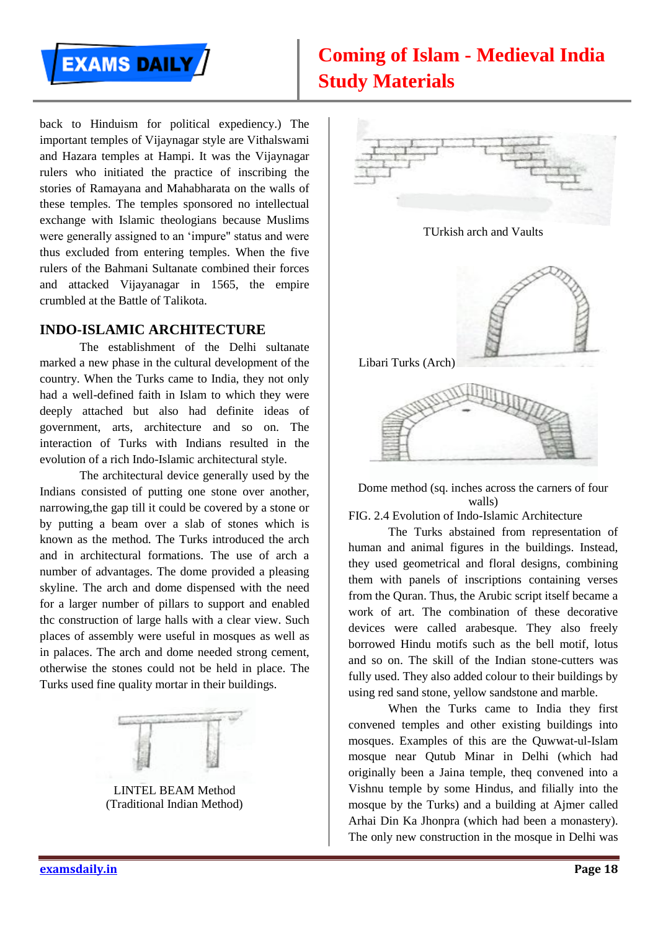

back to Hinduism for political expediency.) The important temples of Vijaynagar style are Vithalswami and Hazara temples at Hampi. It was the Vijaynagar rulers who initiated the practice of inscribing the stories of Ramayana and Mahabharata on the walls of these temples. The temples sponsored no intellectual exchange with Islamic theologians because Muslims were generally assigned to an 'impure" status and were thus excluded from entering temples. When the five rulers of the Bahmani Sultanate combined their forces and attacked Vijayanagar in 1565, the empire crumbled at the Battle of Talikota.

#### **INDO-ISLAMIC ARCHITECTURE**

The establishment of the Delhi sultanate marked a new phase in the cultural development of the country. When the Turks came to India, they not only had a well-defined faith in Islam to which they were deeply attached but also had definite ideas of government, arts, architecture and so on. The interaction of Turks with Indians resulted in the evolution of a rich Indo-Islamic architectural style.

The architectural device generally used by the Indians consisted of putting one stone over another, narrowing,the gap till it could be covered by a stone or by putting a beam over a slab of stones which is known as the method. The Turks introduced the arch and in architectural formations. The use of arch a number of advantages. The dome provided a pleasing skyline. The arch and dome dispensed with the need for a larger number of pillars to support and enabled thc construction of large halls with a clear view. Such places of assembly were useful in mosques as well as in palaces. The arch and dome needed strong cement, otherwise the stones could not be held in place. The Turks used fine quality mortar in their buildings.



LINTEL BEAM Method (Traditional Indian Method)



Dome method (sq. inches across the carners of four walls)

FIG. 2.4 Evolution of Indo-Islamic Architecture

The Turks abstained from representation of human and animal figures in the buildings. Instead, they used geometrical and floral designs, combining them with panels of inscriptions containing verses from the Quran. Thus, the Arubic script itself became a work of art. The combination of these decorative devices were called arabesque. They also freely borrowed Hindu motifs such as the bell motif, lotus and so on. The skill of the Indian stone-cutters was fully used. They also added colour to their buildings by using red sand stone, yellow sandstone and marble.

When the Turks came to India they first convened temples and other existing buildings into mosques. Examples of this are the Quwwat-ul-Islam mosque near Qutub Minar in Delhi (which had originally been a Jaina temple, theq convened into a Vishnu temple by some Hindus, and filially into the mosque by the Turks) and a building at Ajmer called Arhai Din Ka Jhonpra (which had been a monastery). The only new construction in the mosque in Delhi was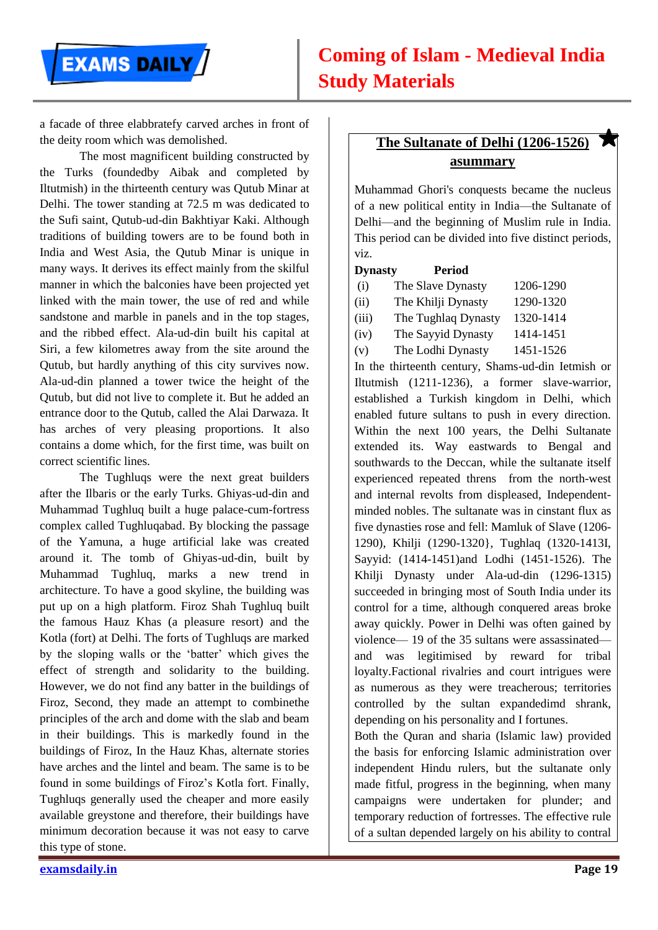

a facade of three elabbratefy carved arches in front of the deity room which was demolished.

The most magnificent building constructed by the Turks (foundedby Aibak and completed by Iltutmish) in the thirteenth century was Qutub Minar at Delhi. The tower standing at 72.5 m was dedicated to the Sufi saint, Qutub-ud-din Bakhtiyar Kaki. Although traditions of building towers are to be found both in India and West Asia, the Qutub Minar is unique in many ways. It derives its effect mainly from the skilful manner in which the balconies have been projected yet linked with the main tower, the use of red and while sandstone and marble in panels and in the top stages, and the ribbed effect. Ala-ud-din built his capital at Siri, a few kilometres away from the site around the Qutub, but hardly anything of this city survives now. Ala-ud-din planned a tower twice the height of the Qutub, but did not live to complete it. But he added an entrance door to the Qutub, called the Alai Darwaza. It has arches of very pleasing proportions. It also contains a dome which, for the first time, was built on correct scientific lines.

The Tughluqs were the next great builders after the Ilbaris or the early Turks. Ghiyas-ud-din and Muhammad Tughluq built a huge palace-cum-fortress complex called Tughluqabad. By blocking the passage of the Yamuna, a huge artificial lake was created around it. The tomb of Ghiyas-ud-din, built by Muhammad Tughluq, marks a new trend in architecture. To have a good skyline, the building was put up on a high platform. Firoz Shah Tughluq built the famous Hauz Khas (a pleasure resort) and the Kotla (fort) at Delhi. The forts of Tughluqs are marked by the sloping walls or the 'batter' which gives the effect of strength and solidarity to the building. However, we do not find any batter in the buildings of Firoz, Second, they made an attempt to combinethe principles of the arch and dome with the slab and beam in their buildings. This is markedly found in the buildings of Firoz, In the Hauz Khas, alternate stories have arches and the lintel and beam. The same is to be found in some buildings of Firoz's Kotla fort. Finally, Tughluqs generally used the cheaper and more easily available greystone and therefore, their buildings have minimum decoration because it was not easy to carve this type of stone.

# **The Sultanate of Delhi (1206-1526) asummary**

Muhammad Ghori's conquests became the nucleus of a new political entity in India—the Sultanate of Delhi—and the beginning of Muslim rule in India. This period can be divided into five distinct periods, viz.

#### **Dynasty Period**

| (i) | The Slave Dynasty | 1206-1290 |
|-----|-------------------|-----------|
|     |                   |           |

(ii) The Khilji Dynasty 1290-1320

(iii) The Tughlaq Dynasty 1320-1414

- (iv) The Sayyid Dynasty 1414-1451
- (v) The Lodhi Dynasty 1451-1526

In the thirteenth century, Shams-ud-din Ietmish or Iltutmish (1211-1236), a former slave-warrior, established a Turkish kingdom in Delhi, which enabled future sultans to push in every direction. Within the next 100 years, the Delhi Sultanate extended its. Way eastwards to Bengal and southwards to the Deccan, while the sultanate itself experienced repeated threns from the north-west and internal revolts from displeased, Independentminded nobles. The sultanate was in cinstant flux as five dynasties rose and fell: Mamluk of Slave (1206- 1290), Khilji (1290-1320}, Tughlaq (1320-1413I, Sayyid: (1414-1451)and Lodhi (1451-1526). The Khilji Dynasty under Ala-ud-din (1296-1315) succeeded in bringing most of South India under its control for a time, although conquered areas broke away quickly. Power in Delhi was often gained by violence— 19 of the 35 sultans were assassinated and was legitimised by reward for tribal loyalty.Factional rivalries and court intrigues were as numerous as they were treacherous; territories controlled by the sultan expandedimd shrank, depending on his personality and I fortunes.

Both the Quran and sharia (Islamic law) provided the basis for enforcing Islamic administration over independent Hindu rulers, but the sultanate only made fitful, progress in the beginning, when many campaigns were undertaken for plunder; and temporary reduction of fortresses. The effective rule of a sultan depended largely on his ability to contral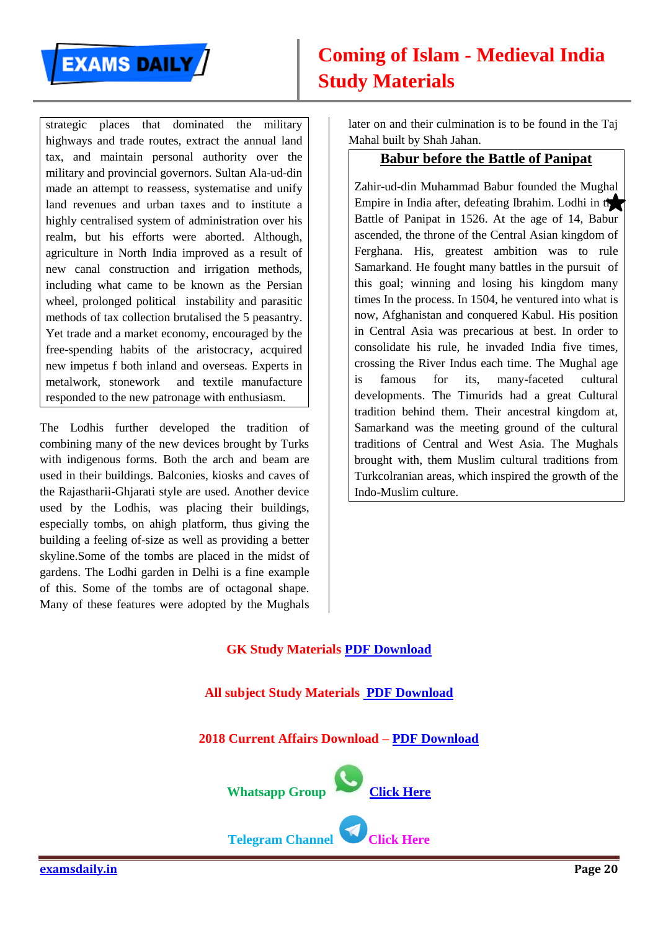

strategic places that dominated the military highways and trade routes, extract the annual land tax, and maintain personal authority over the military and provincial governors. Sultan Ala-ud-din made an attempt to reassess, systematise and unify land revenues and urban taxes and to institute a highly centralised system of administration over his realm, but his efforts were aborted. Although, agriculture in North India improved as a result of new canal construction and irrigation methods, including what came to be known as the Persian wheel, prolonged political instability and parasitic methods of tax collection brutalised the 5 peasantry. Yet trade and a market economy, encouraged by the free-spending habits of the aristocracy, acquired new impetus f both inland and overseas. Experts in metalwork, stonework and textile manufacture responded to the new patronage with enthusiasm.

The Lodhis further developed the tradition of combining many of the new devices brought by Turks with indigenous forms. Both the arch and beam are used in their buildings. Balconies, kiosks and caves of the Rajastharii-Ghjarati style are used. Another device used by the Lodhis, was placing their buildings, especially tombs, on ahigh platform, thus giving the building a feeling of-size as well as providing a better skyline.Some of the tombs are placed in the midst of gardens. The Lodhi garden in Delhi is a fine example of this. Some of the tombs are of octagonal shape. Many of these features were adopted by the Mughals

later on and their culmination is to be found in the Taj Mahal built by Shah Jahan.

# **Babur before the Battle of Panipat**

Zahir-ud-din Muhammad Babur founded the Mughal Empire in India after, defeating Ibrahim. Lodhi in the Battle of Panipat in 1526. At the age of 14, Babur ascended, the throne of the Central Asian kingdom of Ferghana. His, greatest ambition was to rule Samarkand. He fought many battles in the pursuit of this goal; winning and losing his kingdom many times In the process. In 1504, he ventured into what is now, Afghanistan and conquered Kabul. His position in Central Asia was precarious at best. In order to consolidate his rule, he invaded India five times, crossing the River Indus each time. The Mughal age is famous for its, many-faceted cultural developments. The Timurids had a great Cultural tradition behind them. Their ancestral kingdom at, Samarkand was the meeting ground of the cultural traditions of Central and West Asia. The Mughals brought with, them Muslim cultural traditions from Turkcolranian areas, which inspired the growth of the Indo-Muslim culture.

#### **GK Study Materials [PDF Download](https://goo.gl/emKkLo)**

**All subject Study Materials [PDF Download](https://goo.gl/f4VGSW)**

**2018 Current Affairs Download – [PDF Download](http://bit.ly/2MYG7pH)**